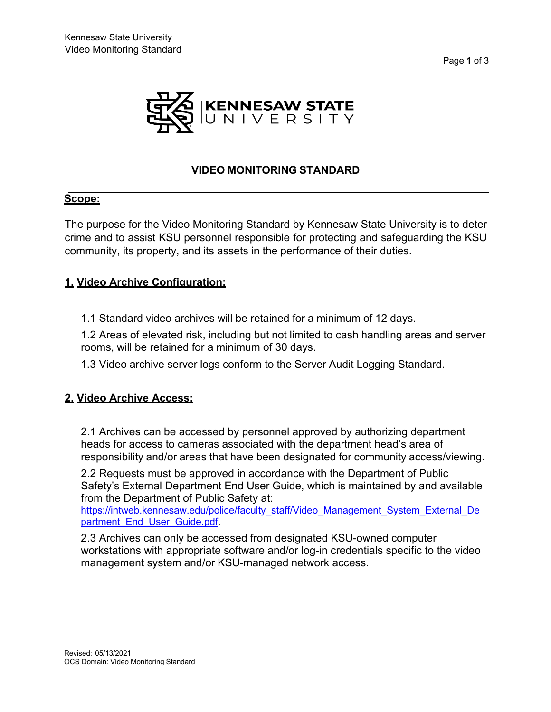



# **VIDEO MONITORING STANDARD**

#### **Scope:**

The purpose for the Video Monitoring Standard by Kennesaw State University is to deter crime and to assist KSU personnel responsible for protecting and safeguarding the KSU community, its property, and its assets in the performance of their duties.

#### **1. Video Archive Configuration:**

1.1 Standard video archives will be retained for a minimum of 12 days.

1.2 Areas of elevated risk, including but not limited to cash handling areas and server rooms, will be retained for a minimum of 30 days.

1.3 Video archive server logs conform to the Server Audit Logging Standard.

#### **2. Video Archive Access:**

2.1 Archives can be accessed by personnel approved by authorizing department heads for access to cameras associated with the department head's area of responsibility and/or areas that have been designated for community access/viewing.

2.2 Requests must be approved in accordance with the Department of Public Safety's External Department End User Guide, which is maintained by and available from the Department of Public Safety at:

[https://intweb.kennesaw.edu/police/faculty\\_staff/Video\\_Management\\_System\\_External\\_De](https://nam04.safelinks.protection.outlook.com/?url=https%3A%2F%2Fintweb.kennesaw.edu%2Fpolice%2Ffaculty_staff%2FVideo_Management_System_External_Department_End_User_Guide.pdf&data=04%7C01%7Cakc0811%40kennesaw.edu%7C1a8130ef4afc41f9211e08d8de6f65cb%7C45f26ee5f134439ebc93e6c7e33d61c2%7C1%7C0%7C637503917310123779%7CUnknown%7CTWFpbGZsb3d8eyJWIjoiMC4wLjAwMDAiLCJQIjoiV2luMzIiLCJBTiI6Ik1haWwiLCJXVCI6Mn0%3D%7C1000&sdata=Q8iy5W72Zpm%2BXc1qnGfRJXOREgEGzGY6YVzRWAJwGss%3D&reserved=0) [partment\\_End\\_User\\_Guide.pdf.](https://nam04.safelinks.protection.outlook.com/?url=https%3A%2F%2Fintweb.kennesaw.edu%2Fpolice%2Ffaculty_staff%2FVideo_Management_System_External_Department_End_User_Guide.pdf&data=04%7C01%7Cakc0811%40kennesaw.edu%7C1a8130ef4afc41f9211e08d8de6f65cb%7C45f26ee5f134439ebc93e6c7e33d61c2%7C1%7C0%7C637503917310123779%7CUnknown%7CTWFpbGZsb3d8eyJWIjoiMC4wLjAwMDAiLCJQIjoiV2luMzIiLCJBTiI6Ik1haWwiLCJXVCI6Mn0%3D%7C1000&sdata=Q8iy5W72Zpm%2BXc1qnGfRJXOREgEGzGY6YVzRWAJwGss%3D&reserved=0)

2.3 Archives can only be accessed from designated KSU-owned computer workstations with appropriate software and/or log-in credentials specific to the video management system and/or KSU-managed network access.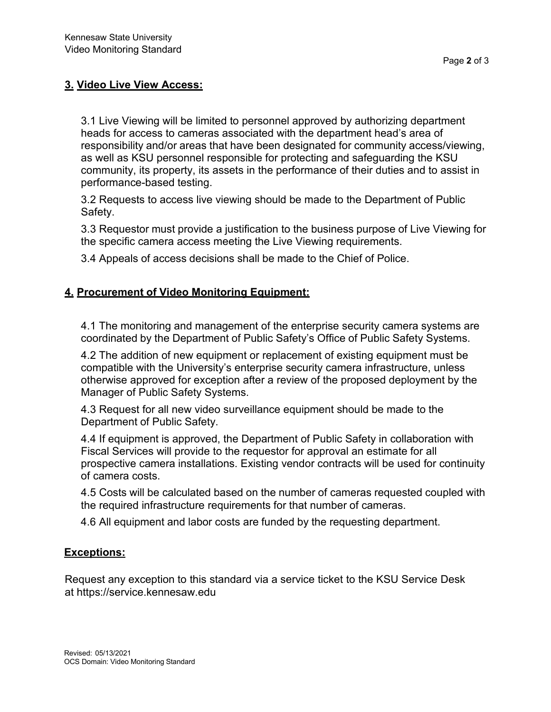# **3. Video Live View Access:**

3.1 Live Viewing will be limited to personnel approved by authorizing department heads for access to cameras associated with the department head's area of responsibility and/or areas that have been designated for community access/viewing, as well as KSU personnel responsible for protecting and safeguarding the KSU community, its property, its assets in the performance of their duties and to assist in performance-based testing.

3.2 Requests to access live viewing should be made to the Department of Public Safety.

3.3 Requestor must provide a justification to the business purpose of Live Viewing for the specific camera access meeting the Live Viewing requirements.

3.4 Appeals of access decisions shall be made to the Chief of Police.

# **4. Procurement of Video Monitoring Equipment:**

4.1 The monitoring and management of the enterprise security camera systems are coordinated by the Department of Public Safety's Office of Public Safety Systems.

4.2 The addition of new equipment or replacement of existing equipment must be compatible with the University's enterprise security camera infrastructure, unless otherwise approved for exception after a review of the proposed deployment by the Manager of Public Safety Systems.

4.3 Request for all new video surveillance equipment should be made to the Department of Public Safety.

4.4 If equipment is approved, the Department of Public Safety in collaboration with Fiscal Services will provide to the requestor for approval an estimate for all prospective camera installations. Existing vendor contracts will be used for continuity of camera costs.

4.5 Costs will be calculated based on the number of cameras requested coupled with the required infrastructure requirements for that number of cameras.

4.6 All equipment and labor costs are funded by the requesting department.

# **Exceptions:**

Request any exception to this standard via a service ticket to the KSU Service Desk at https://service.kennesaw.edu